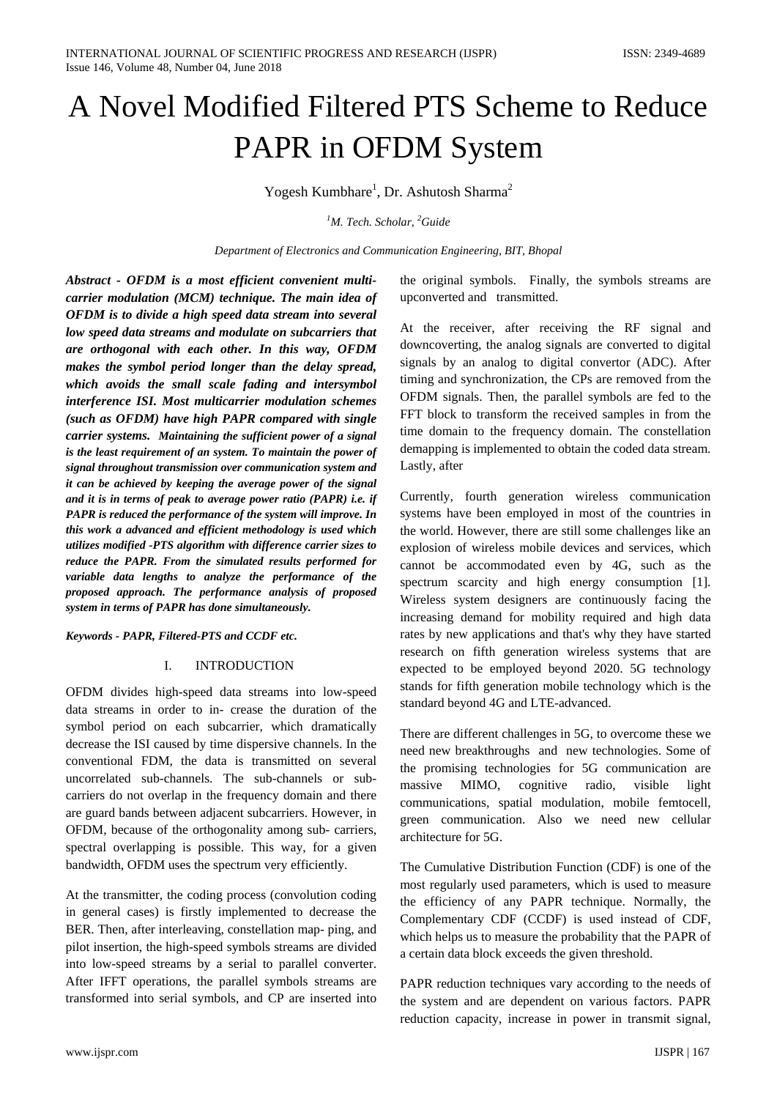# A Novel Modified Filtered PTS Scheme to Reduce PAPR in OFDM System

Yogesh Kumbhare<sup>1</sup>, Dr. Ashutosh Sharma<sup>2</sup>

*1 M. Tech. Scholar, <sup>2</sup> Guide*

*Department of Electronics and Communication Engineering, BIT, Bhopal*

*Abstract - OFDM is a most efficient convenient multicarrier modulation (MCM) technique. The main idea of OFDM is to divide a high speed data stream into several low speed data streams and modulate on subcarriers that are orthogonal with each other. In this way, OFDM makes the symbol period longer than the delay spread, which avoids the small scale fading and intersymbol interference ISI. Most multicarrier modulation schemes (such as OFDM) have high PAPR compared with single carrier systems. Maintaining the sufficient power of a signal is the least requirement of an system. To maintain the power of signal throughout transmission over communication system and it can be achieved by keeping the average power of the signal and it is in terms of peak to average power ratio (PAPR) i.e. if PAPR is reduced the performance of the system will improve. In this work a advanced and efficient methodology is used which utilizes modified -PTS algorithm with difference carrier sizes to reduce the PAPR. From the simulated results performed for variable data lengths to analyze the performance of the proposed approach. The performance analysis of proposed system in terms of PAPR has done simultaneously.*

### *Keywords - PAPR, Filtered-PTS and CCDF etc.*

### I. INTRODUCTION

OFDM divides high-speed data streams into low-speed data streams in order to in- crease the duration of the symbol period on each subcarrier, which dramatically decrease the ISI caused by time dispersive channels. In the conventional FDM, the data is transmitted on several uncorrelated sub-channels. The sub-channels or subcarriers do not overlap in the frequency domain and there are guard bands between adjacent subcarriers. However, in OFDM, because of the orthogonality among sub- carriers, spectral overlapping is possible. This way, for a given bandwidth, OFDM uses the spectrum very efficiently.

At the transmitter, the coding process (convolution coding in general cases) is firstly implemented to decrease the BER. Then, after interleaving, constellation map- ping, and pilot insertion, the high-speed symbols streams are divided into low-speed streams by a serial to parallel converter. After IFFT operations, the parallel symbols streams are transformed into serial symbols, and CP are inserted into the original symbols. Finally, the symbols streams are upconverted and transmitted.

At the receiver, after receiving the RF signal and downcoverting, the analog signals are converted to digital signals by an analog to digital convertor (ADC). After timing and synchronization, the CPs are removed from the OFDM signals. Then, the parallel symbols are fed to the FFT block to transform the received samples in from the time domain to the frequency domain. The constellation demapping is implemented to obtain the coded data stream. Lastly, after

Currently, fourth generation wireless communication systems have been employed in most of the countries in the world. However, there are still some challenges like an explosion of wireless mobile devices and services, which cannot be accommodated even by 4G, such as the spectrum scarcity and high energy consumption [1]. Wireless system designers are continuously facing the increasing demand for mobility required and high data rates by new applications and that's why they have started research on fifth generation wireless systems that are expected to be employed beyond 2020. 5G technology stands for fifth generation mobile technology which is the standard beyond 4G and LTE-advanced.

There are different challenges in 5G, to overcome these we need new breakthroughs and new technologies. Some of the promising technologies for 5G communication are massive MIMO, cognitive radio, visible light communications, spatial modulation, mobile femtocell, green communication. Also we need new cellular architecture for 5G.

The Cumulative Distribution Function (CDF) is one of the most regularly used parameters, which is used to measure the efficiency of any PAPR technique. Normally, the Complementary CDF (CCDF) is used instead of CDF, which helps us to measure the probability that the PAPR of a certain data block exceeds the given threshold.

PAPR reduction techniques vary according to the needs of the system and are dependent on various factors. PAPR reduction capacity, increase in power in transmit signal,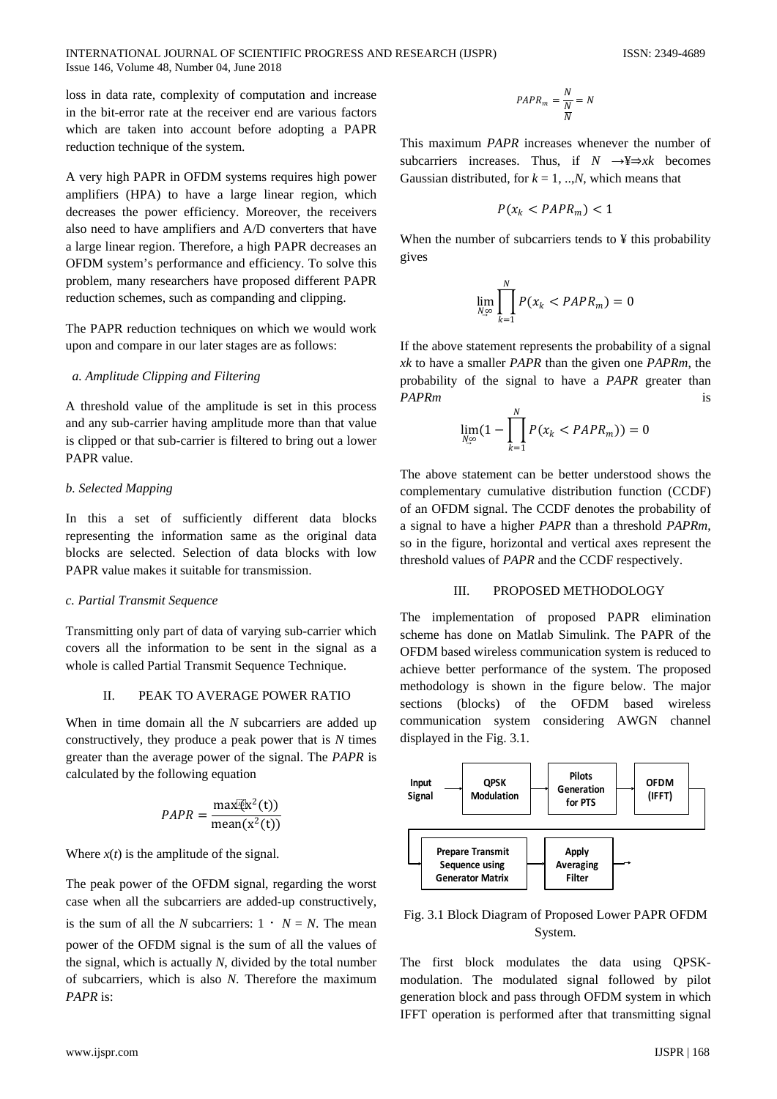INTERNATIONAL JOURNAL OF SCIENTIFIC PROGRESS AND RESEARCH (IJSPR) ISSN: 2349-4689 Issue 146, Volume 48, Number 04, June 2018

loss in data rate, complexity of computation and increase in the bit-error rate at the receiver end are various factors which are taken into account before adopting a PAPR reduction technique of the system.

A very high PAPR in OFDM systems requires high power amplifiers (HPA) to have a large linear region, which decreases the power efficiency. Moreover, the receivers also need to have amplifiers and A/D converters that have a large linear region. Therefore, a high PAPR decreases an OFDM system's performance and efficiency. To solve this problem, many researchers have proposed different PAPR reduction schemes, such as companding and clipping.

The PAPR reduction techniques on which we would work upon and compare in our later stages are as follows:

## *a. Amplitude Clipping and Filtering*

A threshold value of the amplitude is set in this process and any sub-carrier having amplitude more than that value is clipped or that sub-carrier is filtered to bring out a lower PAPR value.

# *b. Selected Mapping*

In this a set of sufficiently different data blocks representing the information same as the original data blocks are selected. Selection of data blocks with low PAPR value makes it suitable for transmission.

### *c. Partial Transmit Sequence*

Transmitting only part of data of varying sub-carrier which covers all the information to be sent in the signal as a whole is called Partial Transmit Sequence Technique.

# II. PEAK TO AVERAGE POWER RATIO

When in time domain all the *N* subcarriers are added up constructively, they produce a peak power that is *N* times greater than the average power of the signal. The *PAPR* is calculated by the following equation

$$
PAPR = \frac{\max(\vec{k}^2(t))}{\text{mean}(x^2(t))}
$$

Where  $x(t)$  is the amplitude of the signal.

The peak power of the OFDM signal, regarding the worst case when all the subcarriers are added-up constructively, is the sum of all the *N* subcarriers:  $1 \cdot N = N$ . The mean power of the OFDM signal is the sum of all the values of the signal, which is actually *N*, divided by the total number of subcarriers, which is also *N*. Therefore the maximum *PAPR* is:

$$
PAPR_m = \frac{N}{\frac{N}{N}} = N
$$

This maximum *PAPR* increases whenever the number of subcarriers increases. Thus, if *N* →¥⇒*xk* becomes Gaussian distributed, for  $k = 1, \dots, N$ , which means that

$$
P(x_k < PAPR_m) < 1
$$

When the number of subcarriers tends to ¥ this probability gives

$$
\lim_{N\downarrow\infty}\prod_{k=1}^N P(x_k < PAPR_m) = 0
$$

If the above statement represents the probability of a signal *xk* to have a smaller *PAPR* than the given one *PAPRm*, the probability of the signal to have a *PAPR* greater than *PAPRm* is

$$
\lim_{N \underset{n}{\infty}} (1 - \prod_{k=1}^{N} P(x_k < PAPR_m)) = 0
$$

The above statement can be better understood shows the complementary cumulative distribution function (CCDF) of an OFDM signal. The CCDF denotes the probability of a signal to have a higher *PAPR* than a threshold *PAPRm*, so in the figure, horizontal and vertical axes represent the threshold values of *PAPR* and the CCDF respectively.

### III. PROPOSED METHODOLOGY

The implementation of proposed PAPR elimination scheme has done on Matlab Simulink. The PAPR of the OFDM based wireless communication system is reduced to achieve better performance of the system. The proposed methodology is shown in the figure below. The major sections (blocks) of the OFDM based wireless communication system considering AWGN channel displayed in the Fig. 3.1.



# Fig. 3.1 Block Diagram of Proposed Lower PAPR OFDM System.

The first block modulates the data using QPSKmodulation. The modulated signal followed by pilot generation block and pass through OFDM system in which IFFT operation is performed after that transmitting signal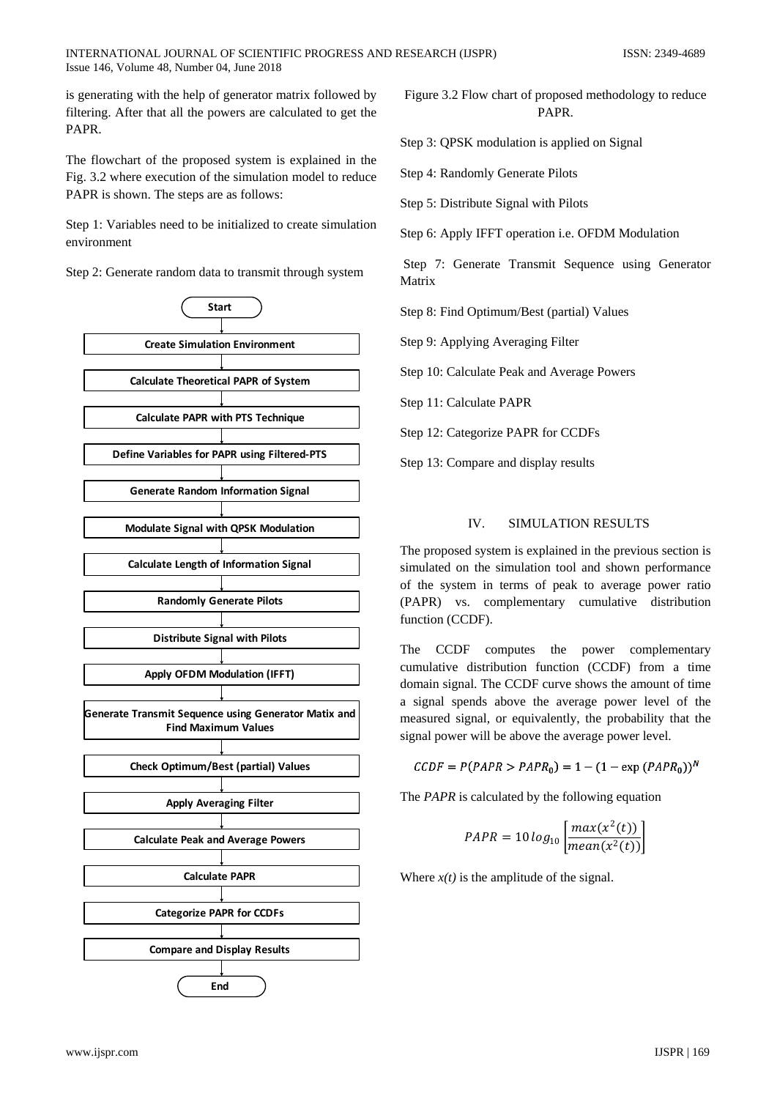is generating with the help of generator matrix followed by filtering. After that all the powers are calculated to get the PAPR.

The flowchart of the proposed system is explained in the Fig. 3.2 where execution of the simulation model to reduce PAPR is shown. The steps are as follows:

Step 1: Variables need to be initialized to create simulation environment

Step 2: Generate random data to transmit through system



Figure 3.2 Flow chart of proposed methodology to reduce PAPR.

Step 3: QPSK modulation is applied on Signal

Step 4: Randomly Generate Pilots

Step 5: Distribute Signal with Pilots

Step 6: Apply IFFT operation i.e. OFDM Modulation

Step 7: Generate Transmit Sequence using Generator Matrix

Step 8: Find Optimum/Best (partial) Values

Step 9: Applying Averaging Filter

Step 10: Calculate Peak and Average Powers

Step 11: Calculate PAPR

Step 12: Categorize PAPR for CCDFs

Step 13: Compare and display results

# IV. SIMULATION RESULTS

The proposed system is explained in the previous section is simulated on the simulation tool and shown performance of the system in terms of peak to average power ratio (PAPR) vs. complementary cumulative distribution function (CCDF).

The CCDF computes the power complementary cumulative distribution function (CCDF) from a time domain signal. The CCDF curve shows the amount of time a signal spends above the average power level of the measured signal, or equivalently, the probability that the signal power will be above the average power level.

 $CCDF = P(PAPR > PAPR_0) = 1 - (1 - \exp (PAPR_0))^N$ 

The *PAPR* is calculated by the following equation

$$
PAPR = 10 \log_{10} \left[ \frac{max(x^2(t))}{mean(x^2(t))} \right]
$$

Where  $x(t)$  is the amplitude of the signal.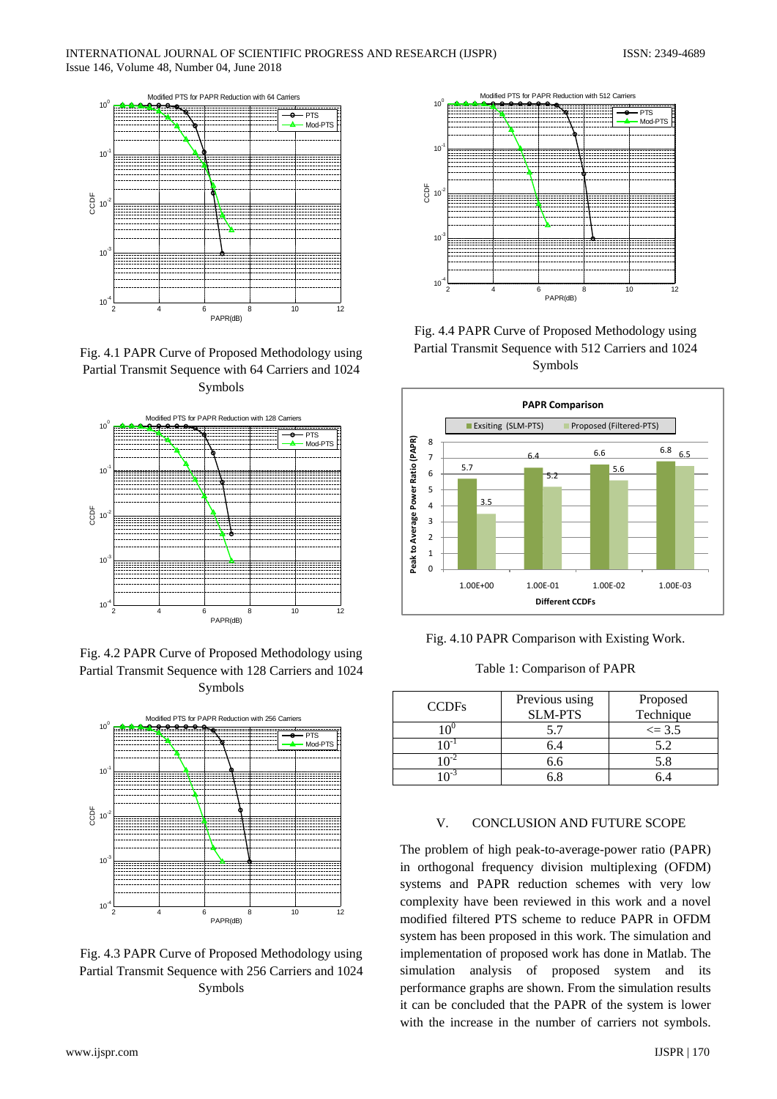

Fig. 4.1 PAPR Curve of Proposed Methodology using Partial Transmit Sequence with 64 Carriers and 1024 Symbols



Fig. 4.2 PAPR Curve of Proposed Methodology using Partial Transmit Sequence with 128 Carriers and 1024 Symbols



Fig. 4.3 PAPR Curve of Proposed Methodology using Partial Transmit Sequence with 256 Carriers and 1024 Symbols



Fig. 4.4 PAPR Curve of Proposed Methodology using Partial Transmit Sequence with 512 Carriers and 1024 Symbols





Table 1: Comparison of PAPR

| <b>CCDFs</b> | Previous using<br><b>SLM-PTS</b> | Proposed<br>Technique |
|--------------|----------------------------------|-----------------------|
|              |                                  | $\leq$ 3.5            |
|              | h.4                              | 52                    |
|              | 6.6                              | 5.8                   |
|              |                                  |                       |

### V. CONCLUSION AND FUTURE SCOPE

The problem of high peak-to-average-power ratio (PAPR) in orthogonal frequency division multiplexing (OFDM) systems and PAPR reduction schemes with very low complexity have been reviewed in this work and a novel modified filtered PTS scheme to reduce PAPR in OFDM system has been proposed in this work. The simulation and implementation of proposed work has done in Matlab. The simulation analysis of proposed system and its performance graphs are shown. From the simulation results it can be concluded that the PAPR of the system is lower with the increase in the number of carriers not symbols.